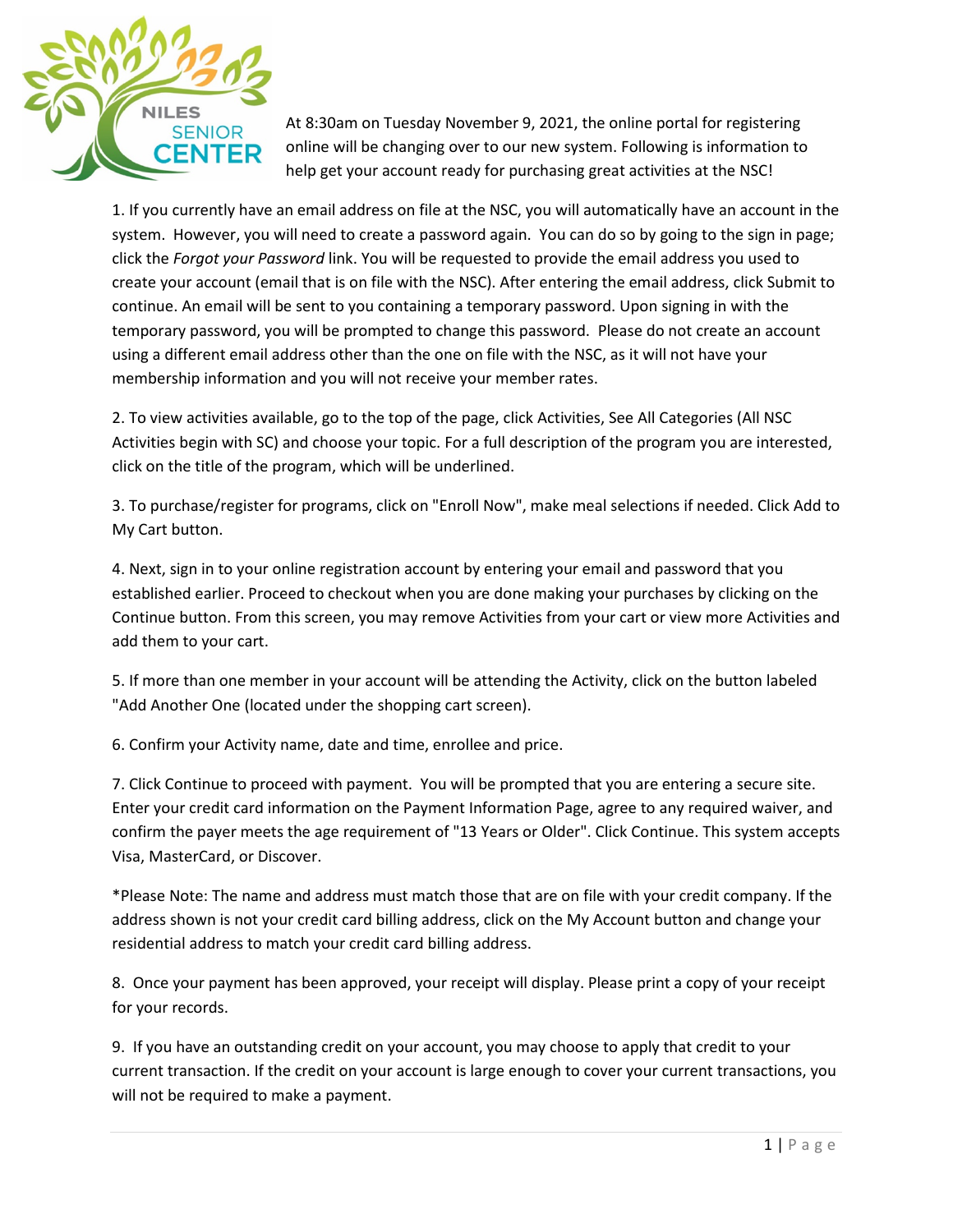

At 8:30am on Tuesday November 9, 2021, the online portal for registering online will be changing over to our new system. Following is information to help get your account ready for purchasing great activities at the NSC!

1. If you currently have an email address on file at the NSC, you will automatically have an account in the system. However, you will need to create a password again. You can do so by going to the sign in page; click the *Forgot your Password* link. You will be requested to provide the email address you used to create your account (email that is on file with the NSC). After entering the email address, click Submit to continue. An email will be sent to you containing a temporary password. Upon signing in with the temporary password, you will be prompted to change this password. Please do not create an account using a different email address other than the one on file with the NSC, as it will not have your membership information and you will not receive your member rates.

2. To view activities available, go to the top of the page, click Activities, See All Categories (All NSC Activities begin with SC) and choose your topic. For a full description of the program you are interested, click on the title of the program, which will be underlined.

3. To purchase/register for programs, click on "Enroll Now", make meal selections if needed. Click Add to My Cart button.

4. Next, sign in to your online registration account by entering your email and password that you established earlier. Proceed to checkout when you are done making your purchases by clicking on the Continue button. From this screen, you may remove Activities from your cart or view more Activities and add them to your cart.

5. If more than one member in your account will be attending the Activity, click on the button labeled "Add Another One (located under the shopping cart screen).

6. Confirm your Activity name, date and time, enrollee and price.

7. Click Continue to proceed with payment. You will be prompted that you are entering a secure site. Enter your credit card information on the Payment Information Page, agree to any required waiver, and confirm the payer meets the age requirement of "13 Years or Older". Click Continue. This system accepts Visa, MasterCard, or Discover.

\*Please Note: The name and address must match those that are on file with your credit company. If the address shown is not your credit card billing address, click on the My Account button and change your residential address to match your credit card billing address.

8. Once your payment has been approved, your receipt will display. Please print a copy of your receipt for your records.

9. If you have an outstanding credit on your account, you may choose to apply that credit to your current transaction. If the credit on your account is large enough to cover your current transactions, you will not be required to make a payment.